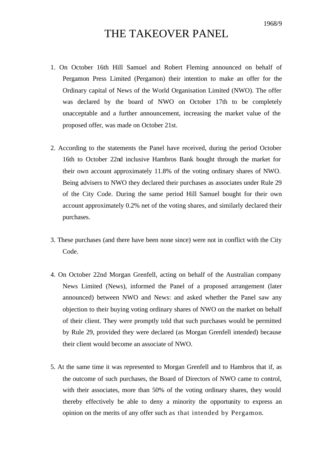## THE TAKEOVER PANEL

- 1. On October 16th Hill Samuel and Robert Fleming announced on behalf of Pergamon Press Limited (Pergamon) their intention to make an offer for the Ordinary capital of News of the World Organisation Limited (NWO). The offer was declared by the board of NWO on October 17th to be completely unacceptable and a further announcement, increasing the market value of the proposed offer, was made on October 21st.
- 2. According to the statements the Panel have received, during the period October 16th to October 22nd inclusive Hambros Bank bought through the market for their own account approximately 11.8% of the voting ordinary shares of NWO. Being advisers to NWO they declared their purchases as associates under Rule 29 of the City Code. During the same period Hill Samuel bought for their own account approximately 0.2% net of the voting shares, and similarly declared their purchases.
- 3. These purchases (and there have been none since) were not in conflict with the City Code.
- 4. On October 22nd Morgan Grenfell, acting on behalf of the Australian company News Limited (News), informed the Panel of a proposed arrangement (later announced) between NWO and News: and asked whether the Panel saw any objection to their buying voting ordinary shares of NWO on the market on behalf of their client. They were promptly told that such purchases would be permitted by Rule 29, provided they were declared (as Morgan Grenfell intended) because their client would become an associate of NWO.
- 5. At the same time it was represented to Morgan Grenfell and to Hambros that if, as the outcome of such purchases, the Board of Directors of NWO came to control, with their associates, more than 50% of the voting ordinary shares, they would thereby effectively be able to deny a minority the opportunity to express an opinion on the merits of any offer such as that intended by Pergamon.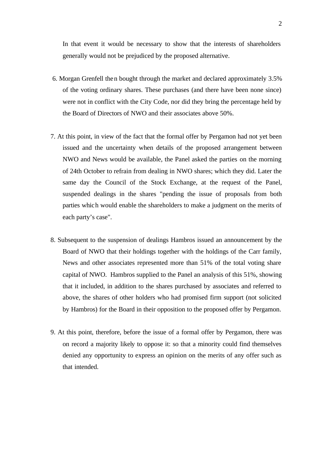In that event it would be necessary to show that the interests of shareholders generally would not be prejudiced by the proposed alternative.

- 6. Morgan Grenfell then bought through the market and declared approximately 3.5% of the voting ordinary shares. These purchases (and there have been none since) were not in conflict with the City Code, nor did they bring the percentage held by the Board of Directors of NWO and their associates above 50%.
- 7. At this point, in view of the fact that the formal offer by Pergamon had not yet been issued and the uncertainty when details of the proposed arrangement between NWO and News would be available, the Panel asked the parties on the morning of 24th October to refrain from dealing in NWO shares; which they did. Later the same day the Council of the Stock Exchange, at the request of the Panel, suspended dealings in the shares "pending the issue of proposals from both parties which would enable the shareholders to make a judgment on the merits of each party's case".
- 8. Subsequent to the suspension of dealings Hambros issued an announcement by the Board of NWO that their holdings together with the holdings of the Carr family, News and other associates represented more than 51% of the total voting share capital of NWO. Hambros supplied to the Panel an analysis of this 51%, showing that it included, in addition to the shares purchased by associates and referred to above, the shares of other holders who had promised firm support (not solicited by Hambros) for the Board in their opposition to the proposed offer by Pergamon.
- 9. At this point, therefore, before the issue of a formal offer by Pergamon, there was on record a majority likely to oppose it: so that a minority could find themselves denied any opportunity to express an opinion on the merits of any offer such as that intended.